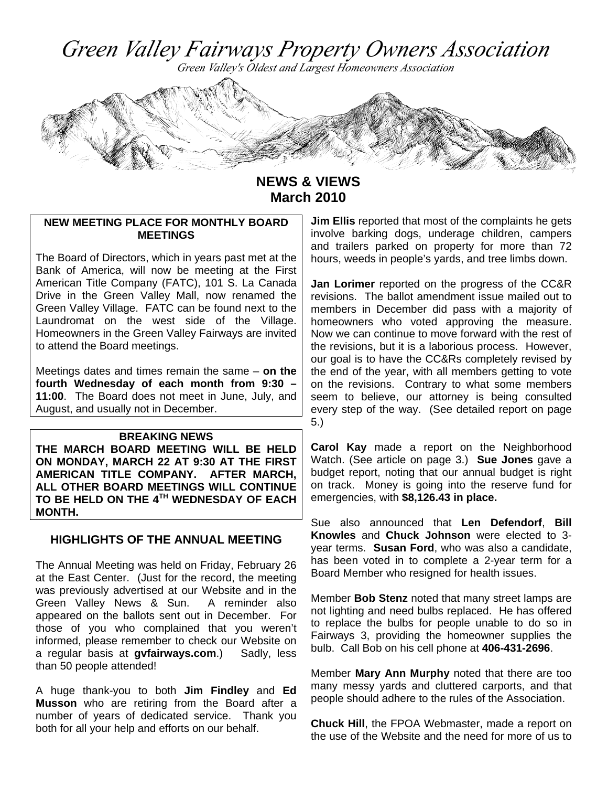Green Valley Fairways Property Owners Association

Green Valley's Oldest and Largest Homeowners Association



**NEWS & VIEWS March 2010** 

### **NEW MEETING PLACE FOR MONTHLY BOARD MEETINGS**

The Board of Directors, which in years past met at the Bank of America, will now be meeting at the First American Title Company (FATC), 101 S. La Canada Drive in the Green Valley Mall, now renamed the Green Valley Village. FATC can be found next to the Laundromat on the west side of the Village. Homeowners in the Green Valley Fairways are invited to attend the Board meetings.

Meetings dates and times remain the same – **on the fourth Wednesday of each month from 9:30 – 11:00**. The Board does not meet in June, July, and August, and usually not in December.

#### **BREAKING NEWS**

**THE MARCH BOARD MEETING WILL BE HELD ON MONDAY, MARCH 22 AT 9:30 AT THE FIRST AMERICAN TITLE COMPANY. AFTER MARCH, ALL OTHER BOARD MEETINGS WILL CONTINUE TO BE HELD ON THE 4TH WEDNESDAY OF EACH MONTH.** 

### **HIGHLIGHTS OF THE ANNUAL MEETING**

The Annual Meeting was held on Friday, February 26 at the East Center. (Just for the record, the meeting was previously advertised at our Website and in the Green Valley News & Sun. A reminder also appeared on the ballots sent out in December. For those of you who complained that you weren't informed, please remember to check our Website on a regular basis at **gvfairways.com**.) Sadly, less than 50 people attended!

A huge thank-you to both **Jim Findley** and **Ed Musson** who are retiring from the Board after a number of years of dedicated service. Thank you both for all your help and efforts on our behalf.

**Jim Ellis** reported that most of the complaints he gets involve barking dogs, underage children, campers and trailers parked on property for more than 72 hours, weeds in people's yards, and tree limbs down.

**Jan Lorimer** reported on the progress of the CC&R revisions. The ballot amendment issue mailed out to members in December did pass with a majority of homeowners who voted approving the measure. Now we can continue to move forward with the rest of the revisions, but it is a laborious process. However, our goal is to have the CC&Rs completely revised by the end of the year, with all members getting to vote on the revisions. Contrary to what some members seem to believe, our attorney is being consulted every step of the way. (See detailed report on page 5.)

**Carol Kay** made a report on the Neighborhood Watch. (See article on page 3.) **Sue Jones** gave a budget report, noting that our annual budget is right on track. Money is going into the reserve fund for emergencies, with **\$8,126.43 in place.**

Sue also announced that **Len Defendorf**, **Bill Knowles** and **Chuck Johnson** were elected to 3 year terms. **Susan Ford**, who was also a candidate, has been voted in to complete a 2-year term for a Board Member who resigned for health issues.

Member **Bob Stenz** noted that many street lamps are not lighting and need bulbs replaced. He has offered to replace the bulbs for people unable to do so in Fairways 3, providing the homeowner supplies the bulb. Call Bob on his cell phone at **406-431-2696**.

Member **Mary Ann Murphy** noted that there are too many messy yards and cluttered carports, and that people should adhere to the rules of the Association.

**Chuck Hill**, the FPOA Webmaster, made a report on the use of the Website and the need for more of us to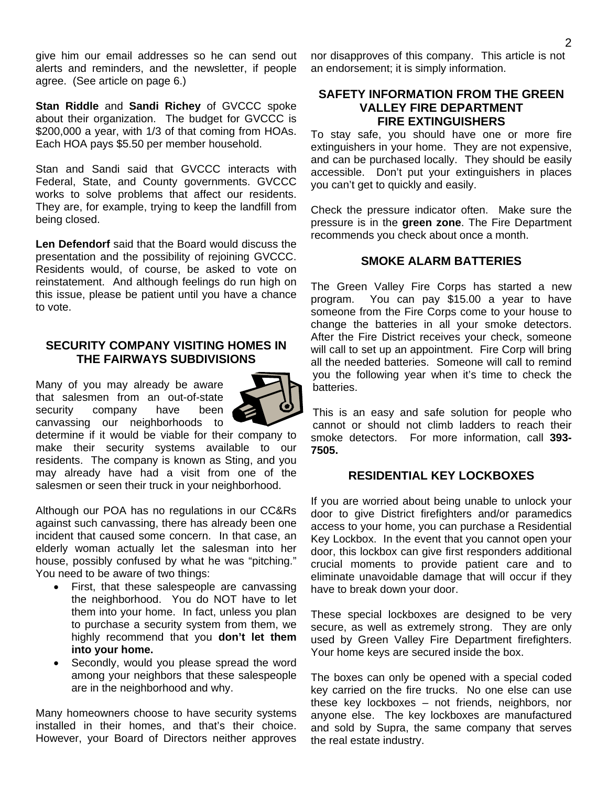give him our email addresses so he can send out alerts and reminders, and the newsletter, if people agree. (See article on page 6.)

**Stan Riddle** and **Sandi Richey** of GVCCC spoke about their organization. The budget for GVCCC is \$200,000 a year, with 1/3 of that coming from HOAs. Each HOA pays \$5.50 per member household.

Stan and Sandi said that GVCCC interacts with Federal, State, and County governments. GVCCC works to solve problems that affect our residents. They are, for example, trying to keep the landfill from being closed.

**Len Defendorf** said that the Board would discuss the presentation and the possibility of rejoining GVCCC. Residents would, of course, be asked to vote on reinstatement. And although feelings do run high on this issue, please be patient until you have a chance to vote.

### **SECURITY COMPANY VISITING HOMES IN THE FAIRWAYS SUBDIVISIONS**

Many of you may already be aware that salesmen from an out-of-state security company have been canvassing our neighborhoods to



determine if it would be viable for their company to make their security systems available to our residents. The company is known as Sting, and you may already have had a visit from one of the salesmen or seen their truck in your neighborhood.

Although our POA has no regulations in our CC&Rs against such canvassing, there has already been one incident that caused some concern. In that case, an elderly woman actually let the salesman into her house, possibly confused by what he was "pitching." You need to be aware of two things:

- First, that these salespeople are canvassing the neighborhood. You do NOT have to let them into your home. In fact, unless you plan to purchase a security system from them, we highly recommend that you **don't let them into your home.**
- Secondly, would you please spread the word among your neighbors that these salespeople are in the neighborhood and why.

Many homeowners choose to have security systems installed in their homes, and that's their choice. However, your Board of Directors neither approves nor disapproves of this company. This article is not an endorsement; it is simply information.

## **SAFETY INFORMATION FROM THE GREEN VALLEY FIRE DEPARTMENT FIRE EXTINGUISHERS**

To stay safe, you should have one or more fire extinguishers in your home. They are not expensive, and can be purchased locally. They should be easily accessible. Don't put your extinguishers in places you can't get to quickly and easily.

Check the pressure indicator often. Make sure the pressure is in the **green zone**. The Fire Department recommends you check about once a month.

### **SMOKE ALARM BATTERIES**

The Green Valley Fire Corps has started a new program. You can pay \$15.00 a year to have someone from the Fire Corps come to your house to change the batteries in all your smoke detectors. After the Fire District receives your check, someone will call to set up an appointment. Fire Corp will bring all the needed batteries. Someone will call to remind you the following year when it's time to check the batteries.

This is an easy and safe solution for people who cannot or should not climb ladders to reach their smoke detectors. For more information, call **393- 7505.** 

### **RESIDENTIAL KEY LOCKBOXES**

If you are worried about being unable to unlock your door to give District firefighters and/or paramedics access to your home, you can purchase a Residential Key Lockbox. In the event that you cannot open your door, this lockbox can give first responders additional crucial moments to provide patient care and to eliminate unavoidable damage that will occur if they have to break down your door.

These special lockboxes are designed to be very secure, as well as extremely strong. They are only used by Green Valley Fire Department firefighters. Your home keys are secured inside the box.

The boxes can only be opened with a special coded key carried on the fire trucks. No one else can use these key lockboxes – not friends, neighbors, nor anyone else. The key lockboxes are manufactured and sold by Supra, the same company that serves the real estate industry.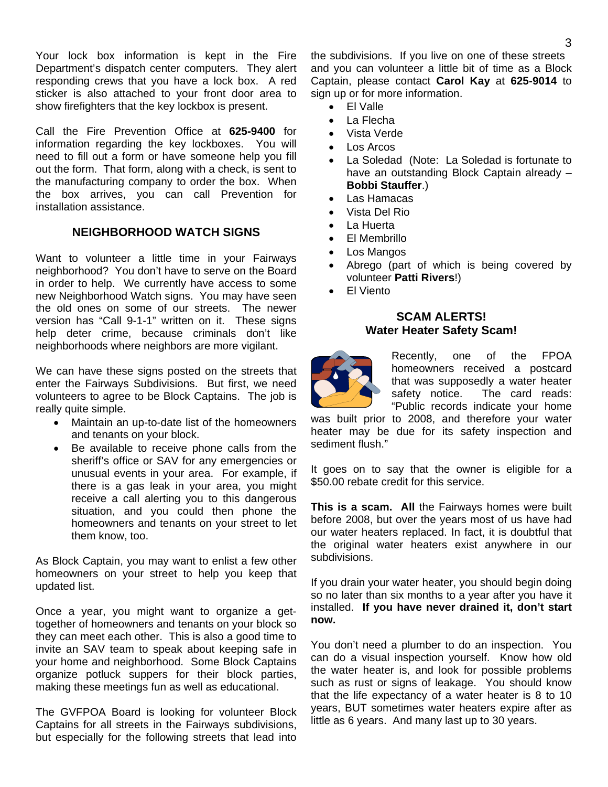Your lock box information is kept in the Fire Department's dispatch center computers. They alert responding crews that you have a lock box. A red sticker is also attached to your front door area to show firefighters that the key lockbox is present.

Call the Fire Prevention Office at **625-9400** for information regarding the key lockboxes. You will need to fill out a form or have someone help you fill out the form. That form, along with a check, is sent to the manufacturing company to order the box. When the box arrives, you can call Prevention for installation assistance.

### **NEIGHBORHOOD WATCH SIGNS**

Want to volunteer a little time in your Fairways neighborhood? You don't have to serve on the Board in order to help. We currently have access to some new Neighborhood Watch signs. You may have seen the old ones on some of our streets. The newer version has "Call 9-1-1" written on it. These signs help deter crime, because criminals don't like neighborhoods where neighbors are more vigilant.

We can have these signs posted on the streets that enter the Fairways Subdivisions. But first, we need volunteers to agree to be Block Captains. The job is really quite simple.

- Maintain an up-to-date list of the homeowners and tenants on your block.
- Be available to receive phone calls from the sheriff's office or SAV for any emergencies or unusual events in your area. For example, if there is a gas leak in your area, you might receive a call alerting you to this dangerous situation, and you could then phone the homeowners and tenants on your street to let them know, too.

As Block Captain, you may want to enlist a few other homeowners on your street to help you keep that updated list.

Once a year, you might want to organize a gettogether of homeowners and tenants on your block so they can meet each other. This is also a good time to invite an SAV team to speak about keeping safe in your home and neighborhood. Some Block Captains organize potluck suppers for their block parties, making these meetings fun as well as educational.

The GVFPOA Board is looking for volunteer Block Captains for all streets in the Fairways subdivisions, but especially for the following streets that lead into the subdivisions. If you live on one of these streets and you can volunteer a little bit of time as a Block Captain, please contact **Carol Kay** at **625-9014** to sign up or for more information.

- El Valle
- La Flecha
- Vista Verde
- Los Arcos
- La Soledad (Note: La Soledad is fortunate to have an outstanding Block Captain already – **Bobbi Stauffer**.)
- Las Hamacas
- Vista Del Rio
- La Huerta
- El Membrillo
- Los Mangos
- Abrego (part of which is being covered by volunteer **Patti Rivers**!)
- El Viento

#### **SCAM ALERTS! Water Heater Safety Scam!**



Recently, one of the FPOA homeowners received a postcard that was supposedly a water heater safety notice. The card reads: "Public records indicate your home

was built prior to 2008, and therefore your water heater may be due for its safety inspection and sediment flush."

It goes on to say that the owner is eligible for a \$50.00 rebate credit for this service.

**This is a scam. All** the Fairways homes were built before 2008, but over the years most of us have had our water heaters replaced. In fact, it is doubtful that the original water heaters exist anywhere in our subdivisions.

If you drain your water heater, you should begin doing so no later than six months to a year after you have it installed. **If you have never drained it, don't start now.** 

You don't need a plumber to do an inspection. You can do a visual inspection yourself. Know how old the water heater is, and look for possible problems such as rust or signs of leakage. You should know that the life expectancy of a water heater is 8 to 10 years, BUT sometimes water heaters expire after as little as 6 years. And many last up to 30 years.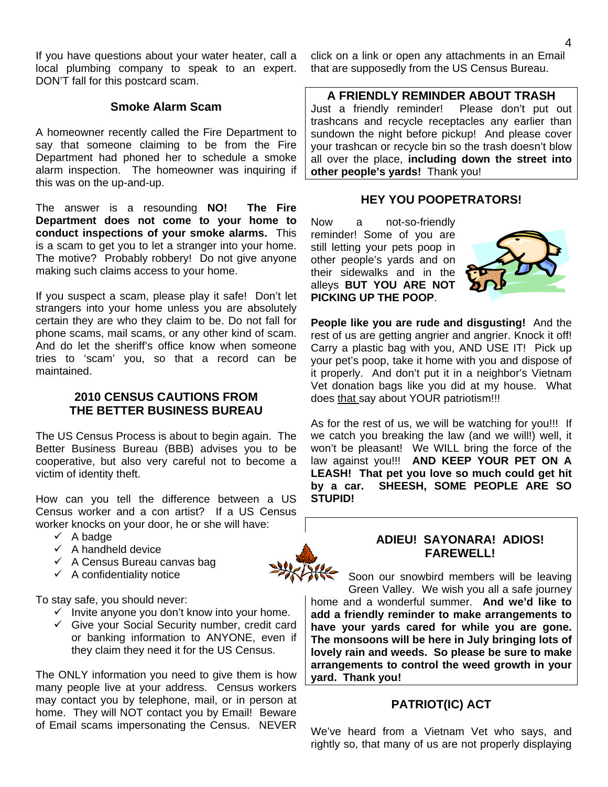If you have questions about your water heater, call a local plumbing company to speak to an expert. DON'T fall for this postcard scam.

### **Smoke Alarm Scam**

A homeowner recently called the Fire Department to say that someone claiming to be from the Fire Department had phoned her to schedule a smoke alarm inspection. The homeowner was inquiring if this was on the up-and-up.

The answer is a resounding **NO! The Fire Department does not come to your home to conduct inspections of your smoke alarms.** This is a scam to get you to let a stranger into your home. The motive? Probably robbery! Do not give anyone making such claims access to your home.

If you suspect a scam, please play it safe! Don't let strangers into your home unless you are absolutely certain they are who they claim to be. Do not fall for phone scams, mail scams, or any other kind of scam. And do let the sheriff's office know when someone tries to 'scam' you, so that a record can be maintained.

### **2010 CENSUS CAUTIONS FROM THE BETTER BUSINESS BUREAU**

The US Census Process is about to begin again. The Better Business Bureau (BBB) advises you to be cooperative, but also very careful not to become a victim of identity theft.

How can you tell the difference between a US Census worker and a con artist? If a US Census worker knocks on your door, he or she will have:

- $\checkmark$  A badge
- $\checkmark$  A handheld device
- $\checkmark$  A Census Bureau canvas bag
- $\checkmark$  A confidentiality notice

To stay safe, you should never:

- $\checkmark$  Invite anyone you don't know into your home.
- $\checkmark$  Give your Social Security number, credit card or banking information to ANYONE, even if they claim they need it for the US Census.

The ONLY information you need to give them is how many people live at your address. Census workers may contact you by telephone, mail, or in person at home. They will NOT contact you by Email! Beware of Email scams impersonating the Census. NEVER click on a link or open any attachments in an Email that are supposedly from the US Census Bureau.

### **A FRIENDLY REMINDER ABOUT TRASH**

Just a friendly reminder! Please don't put out trashcans and recycle receptacles any earlier than sundown the night before pickup! And please cover your trashcan or recycle bin so the trash doesn't blow all over the place, **including down the street into other people's yards!** Thank you!

### **HEY YOU POOPETRATORS!**

Now a not-so-friendly reminder! Some of you are still letting your pets poop in other people's yards and on their sidewalks and in the alleys **BUT YOU ARE NOT PICKING UP THE POOP**.



**People like you are rude and disgusting!** And the rest of us are getting angrier and angrier. Knock it off! Carry a plastic bag with you, AND USE IT! Pick up your pet's poop, take it home with you and dispose of it properly. And don't put it in a neighbor's Vietnam Vet donation bags like you did at my house. What does that say about YOUR patriotism!!!

As for the rest of us, we will be watching for you!!! If we catch you breaking the law (and we will!) well, it won't be pleasant! We WILL bring the force of the law against you!!! **AND KEEP YOUR PET ON A LEASH! That pet you love so much could get hit by a car. SHEESH, SOME PEOPLE ARE SO STUPID!** 

## **ADIEU! SAYONARA! ADIOS! FAREWELL!**

Soon our snowbird members will be leaving Green Valley. We wish you all a safe journey home and a wonderful summer. **And we'd like to add a friendly reminder to make arrangements to have your yards cared for while you are gone. The monsoons will be here in July bringing lots of lovely rain and weeds. So please be sure to make arrangements to control the weed growth in your yard. Thank you!** 

# **PATRIOT(IC) ACT**

We've heard from a Vietnam Vet who says, and rightly so, that many of us are not properly displaying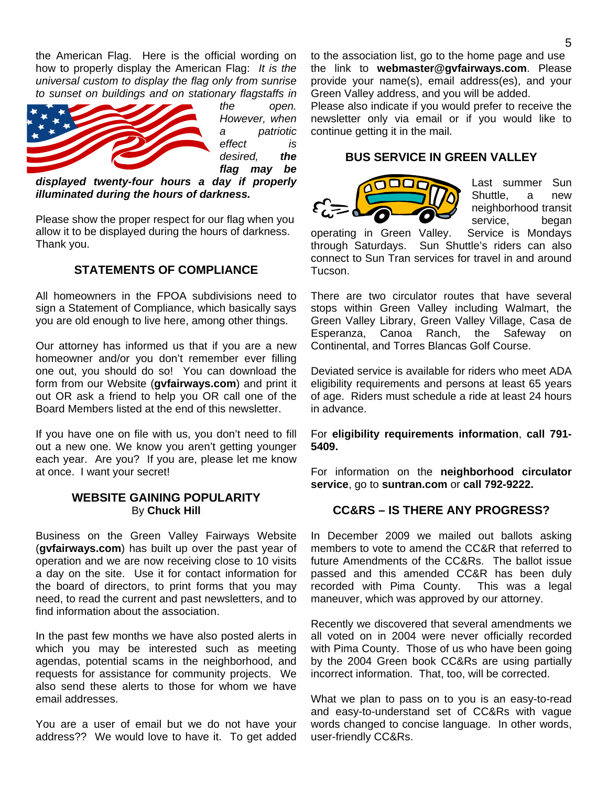the American Flag. Here is the official wording on how to properly display the American Flag: *It is the universal custom to display the flag only from sunrise to sunset on buildings and on stationary flagstaffs in* 



*the open. However, when a patriotic effect is desired, the flag may be* 

*displayed twenty-four hours a day if properly illuminated during the hours of darkness.* 

Please show the proper respect for our flag when you allow it to be displayed during the hours of darkness. Thank you.

## **STATEMENTS OF COMPLIANCE**

All homeowners in the FPOA subdivisions need to sign a Statement of Compliance, which basically says you are old enough to live here, among other things.

Our attorney has informed us that if you are a new homeowner and/or you don't remember ever filling one out, you should do so! You can download the form from our Website (**gvfairways.com**) and print it out OR ask a friend to help you OR call one of the Board Members listed at the end of this newsletter.

If you have one on file with us, you don't need to fill out a new one. We know you aren't getting younger each year. Are you? If you are, please let me know at once. I want your secret!

### **WEBSITE GAINING POPULARITY**  By **Chuck Hill**

Business on the Green Valley Fairways Website (**gvfairways.com**) has built up over the past year of operation and we are now receiving close to 10 visits a day on the site. Use it for contact information for the board of directors, to print forms that you may need, to read the current and past newsletters, and to find information about the association.

In the past few months we have also posted alerts in which you may be interested such as meeting agendas, potential scams in the neighborhood, and requests for assistance for community projects. We also send these alerts to those for whom we have email addresses.

You are a user of email but we do not have your address?? We would love to have it. To get added to the association list, go to the home page and use the link to **webmaster@gvfairways.com**. Please provide your name(s), email address(es), and your Green Valley address, and you will be added.

Please also indicate if you would prefer to receive the newsletter only via email or if you would like to continue getting it in the mail.

### **BUS SERVICE IN GREEN VALLEY**



Last summer Sun Shuttle, a new neighborhood transit service, began

operating in Green Valley. Service is Mondays through Saturdays. Sun Shuttle's riders can also connect to Sun Tran services for travel in and around Tucson.

There are two circulator routes that have several stops within Green Valley including Walmart, the Green Valley Library, Green Valley Village, Casa de Esperanza, Canoa Ranch, the Safeway on Continental, and Torres Blancas Golf Course.

Deviated service is available for riders who meet ADA eligibility requirements and persons at least 65 years of age. Riders must schedule a ride at least 24 hours in advance.

For **eligibility requirements information**, **call 791- 5409.** 

For information on the **neighborhood circulator service**, go to **suntran.com** or **call 792-9222.**

### **CC&RS – IS THERE ANY PROGRESS?**

In December 2009 we mailed out ballots asking members to vote to amend the CC&R that referred to future Amendments of the CC&Rs. The ballot issue passed and this amended CC&R has been duly recorded with Pima County. This was a legal maneuver, which was approved by our attorney.

Recently we discovered that several amendments we all voted on in 2004 were never officially recorded with Pima County. Those of us who have been going by the 2004 Green book CC&Rs are using partially incorrect information. That, too, will be corrected.

What we plan to pass on to you is an easy-to-read and easy-to-understand set of CC&Rs with vague words changed to concise language. In other words, user-friendly CC&Rs.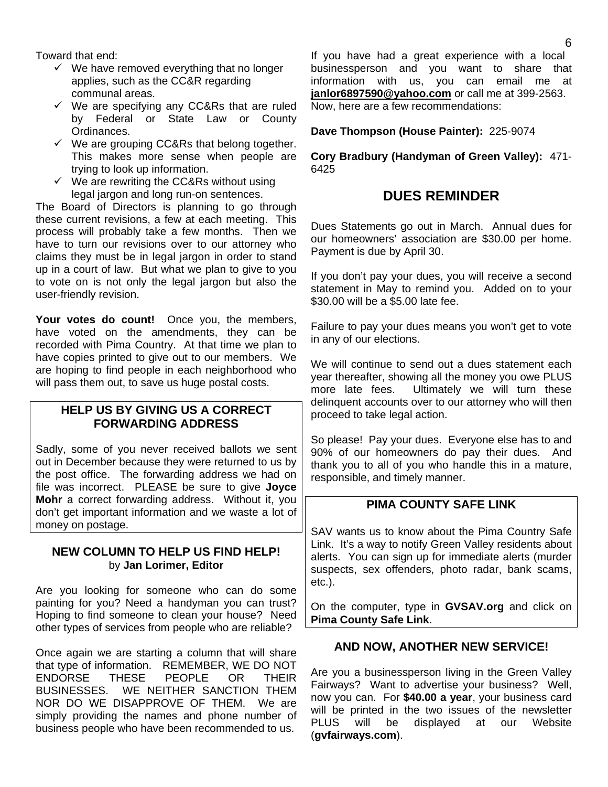Toward that end:

- $\checkmark$  We have removed everything that no longer applies, such as the CC&R regarding communal areas.
- $\checkmark$  We are specifying any CC&Rs that are ruled by Federal or State Law or County Ordinances.
- $\checkmark$  We are grouping CC&Rs that belong together. This makes more sense when people are trying to look up information.
- $\checkmark$  We are rewriting the CC&Rs without using legal jargon and long run-on sentences.

The Board of Directors is planning to go through these current revisions, a few at each meeting. This process will probably take a few months. Then we have to turn our revisions over to our attorney who claims they must be in legal jargon in order to stand up in a court of law. But what we plan to give to you to vote on is not only the legal jargon but also the user-friendly revision.

Your votes do count! Once you, the members, have voted on the amendments, they can be recorded with Pima Country. At that time we plan to have copies printed to give out to our members. We are hoping to find people in each neighborhood who will pass them out, to save us huge postal costs.

# **HELP US BY GIVING US A CORRECT FORWARDING ADDRESS**

Sadly, some of you never received ballots we sent out in December because they were returned to us by the post office. The forwarding address we had on file was incorrect. PLEASE be sure to give **Joyce Mohr** a correct forwarding address. Without it, you don't get important information and we waste a lot of money on postage.

### **NEW COLUMN TO HELP US FIND HELP!**  by **Jan Lorimer, Editor**

Are you looking for someone who can do some painting for you? Need a handyman you can trust? Hoping to find someone to clean your house? Need other types of services from people who are reliable?

Once again we are starting a column that will share that type of information. REMEMBER, WE DO NOT ENDORSE THESE PEOPLE OR THEIR BUSINESSES. WE NEITHER SANCTION THEM NOR DO WE DISAPPROVE OF THEM. We are simply providing the names and phone number of business people who have been recommended to us.

If you have had a great experience with a local businessperson and you want to share that information with us, you can email me at **janlor6897590@yahoo.com** or call me at 399-2563. Now, here are a few recommendations:

**Dave Thompson (House Painter):** 225-9074

**Cory Bradbury (Handyman of Green Valley):** 471- 6425

# **DUES REMINDER**

Dues Statements go out in March. Annual dues for our homeowners' association are \$30.00 per home. Payment is due by April 30.

If you don't pay your dues, you will receive a second statement in May to remind you. Added on to your \$30.00 will be a \$5.00 late fee.

Failure to pay your dues means you won't get to vote in any of our elections.

We will continue to send out a dues statement each year thereafter, showing all the money you owe PLUS more late fees. Ultimately we will turn these delinquent accounts over to our attorney who will then proceed to take legal action.

So please! Pay your dues. Everyone else has to and 90% of our homeowners do pay their dues. And thank you to all of you who handle this in a mature, responsible, and timely manner.

# **PIMA COUNTY SAFE LINK**

SAV wants us to know about the Pima Country Safe Link. It's a way to notify Green Valley residents about alerts. You can sign up for immediate alerts (murder suspects, sex offenders, photo radar, bank scams, etc.).

On the computer, type in **GVSAV.org** and click on **Pima County Safe Link**.

# **AND NOW, ANOTHER NEW SERVICE!**

Are you a businessperson living in the Green Valley Fairways? Want to advertise your business? Well, now you can. For **\$40.00 a year**, your business card will be printed in the two issues of the newsletter PLUS will be displayed at our Website (**gvfairways.com**).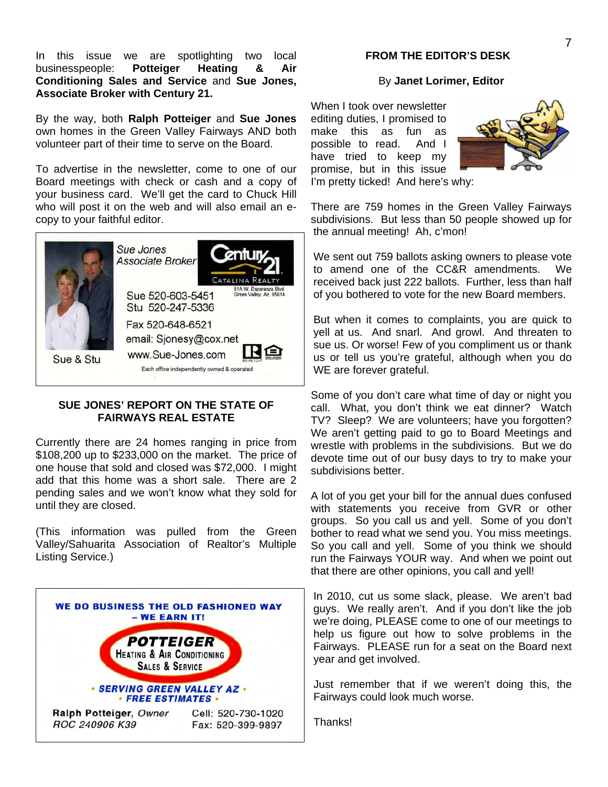In this issue we are spotlighting two local businesspeople: **Potteiger Heating & Air Conditioning Sales and Service** and **Sue Jones, Associate Broker with Century 21.** 

By the way, both **Ralph Potteiger** and **Sue Jones** own homes in the Green Valley Fairways AND both volunteer part of their time to serve on the Board.

To advertise in the newsletter, come to one of our Board meetings with check or cash and a copy of your business card. We'll get the card to Chuck Hill who will post it on the web and will also email an ecopy to your faithful editor.



### **SUE JONES' REPORT ON THE STATE OF FAIRWAYS REAL ESTATE**

Currently there are 24 homes ranging in price from \$108,200 up to \$233,000 on the market. The price of one house that sold and closed was \$72,000. I might add that this home was a short sale. There are 2 pending sales and we won't know what they sold for until they are closed.

(This information was pulled from the Green Valley/Sahuarita Association of Realtor's Multiple Listing Service.)



#### **FROM THE EDITOR'S DESK**

#### By **Janet Lorimer, Editor**

When I took over newsletter editing duties, I promised to make this as fun as possible to read. And I have tried to keep my promise, but in this issue I'm pretty ticked! And here's why:



There are 759 homes in the Green Valley Fairways subdivisions. But less than 50 people showed up for the annual meeting! Ah, c'mon!

We sent out 759 ballots asking owners to please vote to amend one of the CC&R amendments. We received back just 222 ballots. Further, less than half of you bothered to vote for the new Board members.

But when it comes to complaints, you are quick to yell at us. And snarl. And growl. And threaten to sue us. Or worse! Few of you compliment us or thank us or tell us you're grateful, although when you do WE are forever grateful.

Some of you don't care what time of day or night you call. What, you don't think we eat dinner? Watch TV? Sleep? We are volunteers; have you forgotten? We aren't getting paid to go to Board Meetings and wrestle with problems in the subdivisions. But we do devote time out of our busy days to try to make your subdivisions better.

A lot of you get your bill for the annual dues confused with statements you receive from GVR or other groups. So you call us and yell. Some of you don't bother to read what we send you. You miss meetings. So you call and yell. Some of you think we should run the Fairways YOUR way. And when we point out that there are other opinions, you call and yell!

In 2010, cut us some slack, please. We aren't bad guys. We really aren't. And if you don't like the job we're doing, PLEASE come to one of our meetings to help us figure out how to solve problems in the Fairways. PLEASE run for a seat on the Board next year and get involved.

Just remember that if we weren't doing this, the Fairways could look much worse.

Thanks!